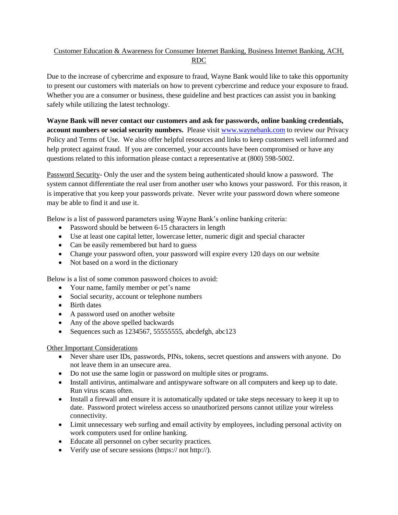## Customer Education & Awareness for Consumer Internet Banking, Business Internet Banking, ACH, RDC

Due to the increase of cybercrime and exposure to fraud, Wayne Bank would like to take this opportunity to present our customers with materials on how to prevent cybercrime and reduce your exposure to fraud. Whether you are a consumer or business, these guideline and best practices can assist you in banking safely while utilizing the latest technology.

**Wayne Bank will never contact our customers and ask for passwords, online banking credentials, account numbers or social security numbers.** Please visit [www.waynebank.com](http://www.waynebank.com/) to review our Privacy Policy and Terms of Use. We also offer helpful resources and links to keep customers well informed and help protect against fraud. If you are concerned, your accounts have been compromised or have any questions related to this information please contact a representative at (800) 598-5002.

Password Security- Only the user and the system being authenticated should know a password. The system cannot differentiate the real user from another user who knows your password. For this reason, it is imperative that you keep your passwords private. Never write your password down where someone may be able to find it and use it.

Below is a list of password parameters using Wayne Bank's online banking criteria:

- Password should be between 6-15 characters in length
- Use at least one capital letter, lowercase letter, numeric digit and special character
- Can be easily remembered but hard to guess
- Change your password often, your password will expire every 120 days on our website
- Not based on a word in the dictionary

Below is a list of some common password choices to avoid:

- Your name, family member or pet's name
- Social security, account or telephone numbers
- Birth dates
- A password used on another website
- Any of the above spelled backwards
- Sequences such as  $1234567, 55555555$ , abcdefgh, abc $123$

## Other Important Considerations

- Never share user IDs, passwords, PINs, tokens, secret questions and answers with anyone. Do not leave them in an unsecure area.
- Do not use the same login or password on multiple sites or programs.
- Install antivirus, antimalware and antispyware software on all computers and keep up to date. Run virus scans often.
- Install a firewall and ensure it is automatically updated or take steps necessary to keep it up to date. Password protect wireless access so unauthorized persons cannot utilize your wireless connectivity.
- Limit unnecessary web surfing and email activity by employees, including personal activity on work computers used for online banking.
- Educate all personnel on cyber security practices.
- Verify use of secure sessions (https:// not http://).